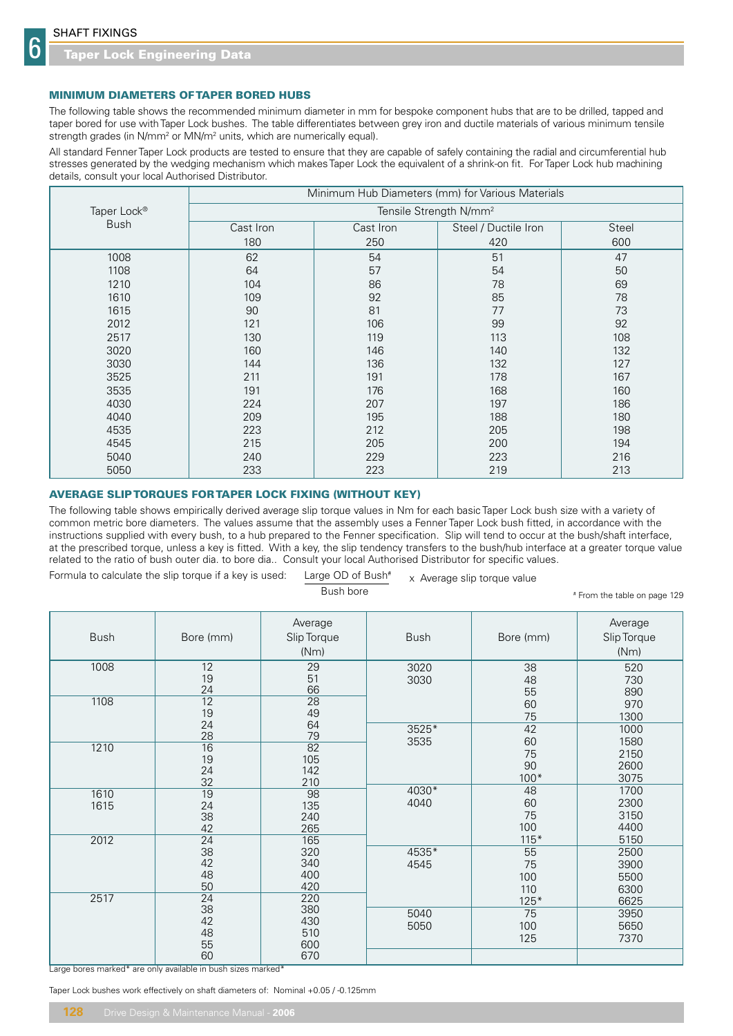6

## MINIMUM DIAMETERS OF TAPER BORED HUBS

The following table shows the recommended minimum diameter in mm for bespoke component hubs that are to be drilled, tapped and taper bored for use with Taper Lock bushes. The table differentiates between grey iron and ductile materials of various minimum tensile strength grades (in N/mm<sup>2</sup> or MN/m<sup>2</sup> units, which are numerically equal).

All standard Fenner Taper Lock products are tested to ensure that they are capable of safely containing the radial and circumferential hub stresses generated by the wedging mechanism which makes Taper Lock the equivalent of a shrink-on fit. For Taper Lock hub machining details, consult your local Authorised Distributor.

|             | Minimum Hub Diameters (mm) for Various Materials |           |                      |       |  |  |  |  |  |  |  |
|-------------|--------------------------------------------------|-----------|----------------------|-------|--|--|--|--|--|--|--|
| Taper Lock® | Tensile Strength N/mm <sup>2</sup>               |           |                      |       |  |  |  |  |  |  |  |
| <b>Bush</b> | Cast Iron                                        | Cast Iron | Steel / Ductile Iron | Steel |  |  |  |  |  |  |  |
|             | 180                                              | 250       | 420                  | 600   |  |  |  |  |  |  |  |
| 1008        | 62                                               | 54        | 51                   | 47    |  |  |  |  |  |  |  |
| 1108        | 64                                               | 57        | 54                   | 50    |  |  |  |  |  |  |  |
| 1210        | 104                                              | 86        | 78                   | 69    |  |  |  |  |  |  |  |
| 1610        | 109                                              | 92        | 85                   | 78    |  |  |  |  |  |  |  |
| 1615        | 90                                               | 81        | 77                   | 73    |  |  |  |  |  |  |  |
| 2012        | 121                                              | 106       | 99                   | 92    |  |  |  |  |  |  |  |
| 2517        | 130                                              | 119       | 113                  | 108   |  |  |  |  |  |  |  |
| 3020        | 160                                              | 146       | 140                  | 132   |  |  |  |  |  |  |  |
| 3030        | 144                                              | 136       | 132                  | 127   |  |  |  |  |  |  |  |
| 3525        | 211                                              | 191       | 178                  | 167   |  |  |  |  |  |  |  |
| 3535        | 191                                              | 176       | 168                  | 160   |  |  |  |  |  |  |  |
| 4030        | 224                                              | 207       | 197                  | 186   |  |  |  |  |  |  |  |
| 4040        | 209                                              | 195       | 188                  | 180   |  |  |  |  |  |  |  |
| 4535        | 223                                              | 212       | 205                  | 198   |  |  |  |  |  |  |  |
| 4545        | 215                                              | 205       | 200                  | 194   |  |  |  |  |  |  |  |
| 5040        | 240                                              | 229       | 223                  | 216   |  |  |  |  |  |  |  |
| 5050        | 233                                              | 223       | 219                  | 213   |  |  |  |  |  |  |  |

## AVERAGE SLIP TORQUES FOR TAPER LOCK FIXING (WITHOUT KEY)

The following table shows empirically derived average slip torque values in Nm for each basic Taper Lock bush size with a variety of common metric bore diameters. The values assume that the assembly uses a Fenner Taper Lock bush fitted, in accordance with the instructions supplied with every bush, to a hub prepared to the Fenner specification. Slip will tend to occur at the bush/shaft interface, at the prescribed torque, unless a key is fitted. With a key, the slip tendency transfers to the bush/hub interface at a greater torque value related to the ratio of bush outer dia. to bore dia.. Consult your local Authorised Distributor for specific values.

Formula to calculate the slip torque if a key is used: Large OD of Bush $*$ x Average slip torque value

 $\mathsf B$ ush bore  $\mathsf H$ 

From the table on page 129

| <b>Bush</b>  | Bore (mm)                                     | Average<br>Slip Torque<br>(Nm)             | <b>Bush</b>   | Bore (mm)                        | Average<br>Slip Torque<br>(Nm)       |
|--------------|-----------------------------------------------|--------------------------------------------|---------------|----------------------------------|--------------------------------------|
| 1008         | 12<br>19<br>24                                | 29<br>51<br>66                             | 3020<br>3030  | 38<br>48<br>55                   | 520<br>730<br>890                    |
| 1108         | $\overline{12}$<br>19<br>24                   | $\overline{28}$<br>49<br>64                | 3525*         | 60<br>75<br>42                   | 970<br>1300<br>1000                  |
| 1210         | 28<br>$\overline{16}$<br>19<br>24<br>32       | 79<br>$\overline{82}$<br>105<br>142<br>210 | 3535          | 60<br>75<br>90<br>$100*$         | 1580<br>2150<br>2600<br>3075         |
| 1610<br>1615 | $\overline{19}$<br>24<br>38<br>42             | $\overline{98}$<br>135<br>240<br>265       | 4030*<br>4040 | 48<br>60<br>75<br>100            | 1700<br>2300<br>3150<br>4400         |
| 2012         | $\overline{24}$<br>38<br>42<br>48<br>50       | 165<br>320<br>340<br>400<br>420            | 4535*<br>4545 | $115*$<br>55<br>75<br>100<br>110 | 5150<br>2500<br>3900<br>5500<br>6300 |
| 2517         | $\overline{24}$<br>38<br>42<br>48<br>55<br>60 | 220<br>380<br>430<br>510<br>600<br>670     | 5040<br>5050  | $125*$<br>75<br>100<br>125       | 6625<br>3950<br>5650<br>7370         |

Large bores marked\* are only available in bush sizes marked\*

Taper Lock bushes work effectively on shaft diameters of: Nominal +0.05 / -0.125mm